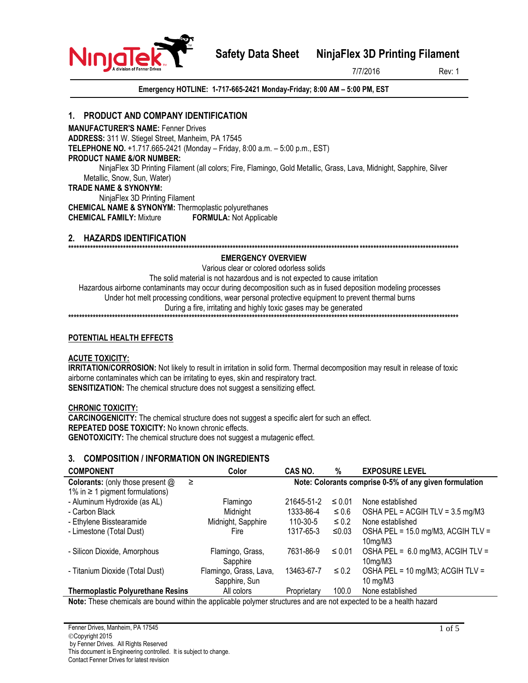**Safety Data Sheet NinjaFlex 3D Printing Filament**

7/7/2016 Rev: 1

NinjaTe

**Emergency HOTLINE: 1-717-665-2421 Monday-Friday; 8:00 AM – 5:00 PM, EST**

# **1. PRODUCT AND COMPANY IDENTIFICATION**

**MANUFACTURER'S NAME:** Fenner Drives **ADDRESS:** 311 W. Stiegel Street, Manheim, PA 17545 **TELEPHONE NO.** +1.717.665-2421 (Monday – Friday, 8:00 a.m. – 5:00 p.m., EST) **PRODUCT NAME &/OR NUMBER:**

NinjaFlex 3D Printing Filament (all colors; Fire, Flamingo, Gold Metallic, Grass, Lava, Midnight, Sapphire, Silver Metallic, Snow, Sun, Water)

## **TRADE NAME & SYNONYM:**

NinjaFlex 3D Printing Filament

**CHEMICAL NAME & SYNONYM:** Thermoplastic polyurethanes **CHEMICAL FAMILY:** Mixture **FORMULA:** Not Applicable

#### **2. HAZARDS IDENTIFICATION \*\*\*\*\*\*\*\*\*\*\*\*\*\*\*\*\*\*\*\*\*\*\*\*\*\*\*\*\*\*\*\*\*\*\*\*\*\*\*\*\*\*\*\*\*\*\*\*\*\*\*\*\*\*\*\*\*\*\*\*\*\*\*\*\*\*\*\*\*\*\*\*\*\*\*\*\*\*\*\*\*\*\*\*\*\*\*\*\*\*\*\*\*\*\*\*\*\*\*\*\*\*\*\*\*\*\*\*\*\*\*\*\*\*\*\*\*\*\*\*\*\*\*\*\*\*\*\*\*\*\*\*\*\*\*\*\*\*\*\*\*\***

**EMERGENCY OVERVIEW**

Various clear or colored odorless solids The solid material is not hazardous and is not expected to cause irritation Hazardous airborne contaminants may occur during decomposition such as in fused deposition modeling processes Under hot melt processing conditions, wear personal protective equipment to prevent thermal burns During a fire, irritating and highly toxic gases may be generated **\*\*\*\*\*\*\*\*\*\*\*\*\*\*\*\*\*\*\*\*\*\*\*\*\*\*\*\*\*\*\*\*\*\*\*\*\*\*\*\*\*\*\*\*\*\*\*\*\*\*\*\*\*\*\*\*\*\*\*\*\*\*\*\*\*\*\*\*\*\*\*\*\*\*\*\*\*\*\*\*\*\*\*\*\*\*\*\*\*\*\*\*\*\*\*\*\*\*\*\*\*\*\*\*\*\*\*\*\*\*\*\*\*\*\*\*\*\*\*\*\*\*\*\*\*\*\*\*\*\*\*\*\*\*\*\*\*\*\*\*\*\***

## **POTENTIAL HEALTH EFFECTS**

## **ACUTE TOXICITY:**

**IRRITATION/CORROSION:** Not likely to result in irritation in solid form. Thermal decomposition may result in release of toxic airborne contaminates which can be irritating to eyes, skin and respiratory tract. **SENSITIZATION:** The chemical structure does not suggest a sensitizing effect.

## **CHRONIC TOXICITY:**

**CARCINOGENICITY:** The chemical structure does not suggest a specific alert for such an effect. **REPEATED DOSE TOXICITY:** No known chronic effects. **GENOTOXICITY:** The chemical structure does not suggest a mutagenic effect.

## **3. COMPOSITION / INFORMATION ON INGREDIENTS**

| <b>COMPONENT</b>                         | Color                  | CAS NO.                                                | %           | <b>EXPOSURE LEVEL</b>                |
|------------------------------------------|------------------------|--------------------------------------------------------|-------------|--------------------------------------|
| <b>Colorants:</b> (only those present @  | ≥                      | Note: Colorants comprise 0-5% of any given formulation |             |                                      |
| 1% in $\geq$ 1 pigment formulations)     |                        |                                                        |             |                                      |
| - Aluminum Hydroxide (as AL)             | Flamingo               | 21645-51-2                                             | $\leq 0.01$ | None established                     |
| - Carbon Black                           | Midnight               | 1333-86-4                                              | $\leq 0.6$  | OSHA PEL = ACGIH TLV = 3.5 mg/M3     |
| - Ethylene Bisstearamide                 | Midnight, Sapphire     | 110-30-5                                               | $\leq 0.2$  | None established                     |
| - Limestone (Total Dust)                 | Fire                   | 1317-65-3                                              | ≤0.03       | OSHA PEL = $15.0$ mg/M3, ACGIH TLV = |
|                                          |                        |                                                        |             | 10 <sub>mg</sub> /M3                 |
| - Silicon Dioxide, Amorphous             | Flamingo, Grass,       | 7631-86-9                                              | $\leq 0.01$ | OSHA PEL = 6.0 mg/M3, ACGIH TLV =    |
|                                          | Sapphire               |                                                        |             | 10mg/M3                              |
| - Titanium Dioxide (Total Dust)          | Flamingo, Grass, Lava, | 13463-67-7                                             | $\leq 0.2$  | OSHA PEL = 10 mg/M3; ACGIH TLV =     |
|                                          | Sapphire, Sun          |                                                        |             | 10 mg/M3                             |
| <b>Thermoplastic Polyurethane Resins</b> | All colors             | Proprietary                                            | 100.0       | None established                     |

**Note:** These chemicals are bound within the applicable polymer structures and are not expected to be a health hazard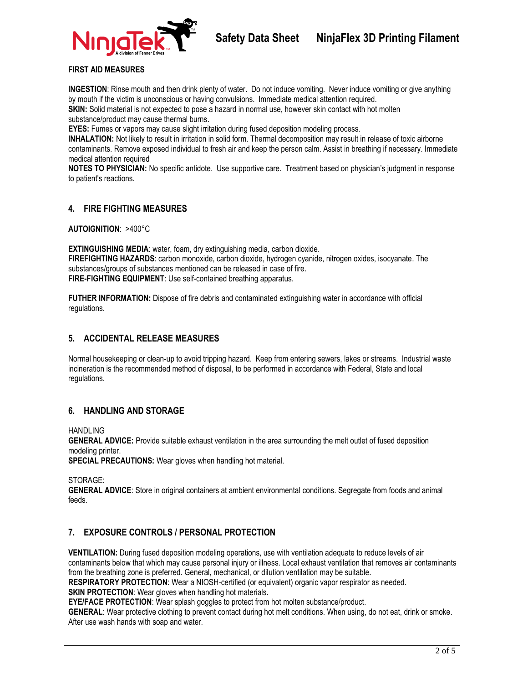

#### **FIRST AID MEASURES**

**INGESTION**: Rinse mouth and then drink plenty of water. Do not induce vomiting. Never induce vomiting or give anything by mouth if the victim is unconscious or having convulsions. Immediate medical attention required.

**SKIN:** Solid material is not expected to pose a hazard in normal use, however skin contact with hot molten substance/product may cause thermal burns.

**EYES:** Fumes or vapors may cause slight irritation during fused deposition modeling process.

**INHALATION:** Not likely to result in irritation in solid form. Thermal decomposition may result in release of toxic airborne contaminants. Remove exposed individual to fresh air and keep the person calm. Assist in breathing if necessary. Immediate medical attention required

**NOTES TO PHYSICIAN:** No specific antidote. Use supportive care. Treatment based on physician's judgment in response to patient's reactions.

## **4. FIRE FIGHTING MEASURES**

**AUTOIGNITION**: >400°C

**EXTINGUISHING MEDIA**: water, foam, dry extinguishing media, carbon dioxide. **FIREFIGHTING HAZARDS:** carbon monoxide, carbon dioxide, hydrogen cyanide, nitrogen oxides, isocyanate. The substances/groups of substances mentioned can be released in case of fire. **FIRE-FIGHTING EQUIPMENT**: Use self-contained breathing apparatus.

**FUTHER INFORMATION:** Dispose of fire debris and contaminated extinguishing water in accordance with official regulations.

## **5. ACCIDENTAL RELEASE MEASURES**

Normal housekeeping or clean-up to avoid tripping hazard. Keep from entering sewers, lakes or streams. Industrial waste incineration is the recommended method of disposal, to be performed in accordance with Federal, State and local regulations.

## **6. HANDLING AND STORAGE**

**HANDLING** 

**GENERAL ADVICE:** Provide suitable exhaust ventilation in the area surrounding the melt outlet of fused deposition modeling printer.

**SPECIAL PRECAUTIONS:** Wear gloves when handling hot material.

STORAGE:

**GENERAL ADVICE**: Store in original containers at ambient environmental conditions. Segregate from foods and animal feeds.

## **7. EXPOSURE CONTROLS / PERSONAL PROTECTION**

**VENTILATION:** During fused deposition modeling operations, use with ventilation adequate to reduce levels of air contaminants below that which may cause personal injury or illness. Local exhaust ventilation that removes air contaminants from the breathing zone is preferred. General, mechanical, or dilution ventilation may be suitable.

**RESPIRATORY PROTECTION**: Wear a NIOSH-certified (or equivalent) organic vapor respirator as needed.

**SKIN PROTECTION:** Wear gloves when handling hot materials.

**EYE/FACE PROTECTION:** Wear splash goggles to protect from hot molten substance/product.

**GENERAL**: Wear protective clothing to prevent contact during hot melt conditions. When using, do not eat, drink or smoke. After use wash hands with soap and water.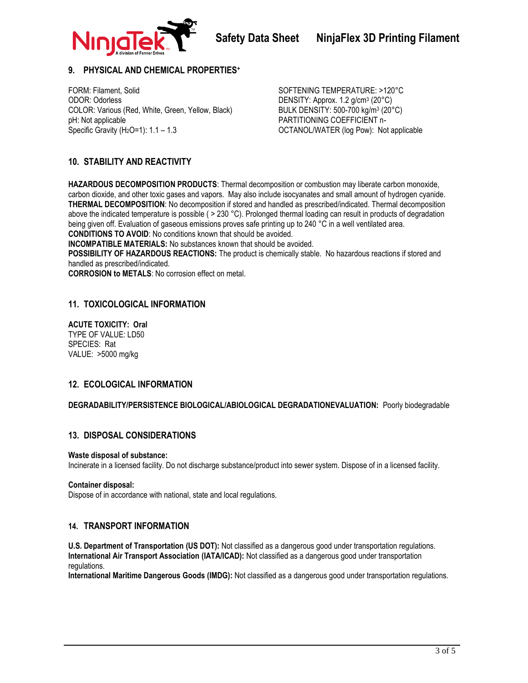

## **9. PHYSICAL AND CHEMICAL PROPERTIES<sup>+</sup>**

FORM: Filament, Solid Solid Solid SoftEning TEMPERATURE: >120°C ODOR: Odorless DENSITY: Approx. 1.2 g/cm<sup>3</sup> (20°C) COLOR: Various (Red, White, Green, Yellow, Black) pH: Not applicable Specific Gravity  $(H<sub>2</sub>O=1)$ : 1.1 - 1.3

BULK DENSITY: 500-700 kg/m<sup>3</sup> (20°C) PARTITIONING COEFFICIENT n-OCTANOL/WATER (log Pow): Not applicable

# **10. STABILITY AND REACTIVITY**

**HAZARDOUS DECOMPOSITION PRODUCTS**: Thermal decomposition or combustion may liberate carbon monoxide, carbon dioxide, and other toxic gases and vapors. May also include isocyanates and small amount of hydrogen cyanide. **THERMAL DECOMPOSITION**: No decomposition if stored and handled as prescribed/indicated. Thermal decomposition above the indicated temperature is possible ( > 230 °C). Prolonged thermal loading can result in products of degradation being given off. Evaluation of gaseous emissions proves safe printing up to 240 °C in a well ventilated area. **CONDITIONS TO AVOID**: No conditions known that should be avoided.

**INCOMPATIBLE MATERIALS:** No substances known that should be avoided.

**POSSIBILITY OF HAZARDOUS REACTIONS:** The product is chemically stable. No hazardous reactions if stored and handled as prescribed/indicated.

**CORROSION to METALS**: No corrosion effect on metal.

## **11. TOXICOLOGICAL INFORMATION**

**ACUTE TOXICITY: Oral** TYPE OF VALUE: LD50 SPECIES: Rat VALUE: >5000 mg/kg

## **12. ECOLOGICAL INFORMATION**

**DEGRADABILITY/PERSISTENCE BIOLOGICAL/ABIOLOGICAL DEGRADATIONEVALUATION:** Poorly biodegradable

## **13. DISPOSAL CONSIDERATIONS**

#### **Waste disposal of substance:**

Incinerate in a licensed facility. Do not discharge substance/product into sewer system. Dispose of in a licensed facility.

#### **Container disposal:**

Dispose of in accordance with national, state and local regulations.

#### **14. TRANSPORT INFORMATION**

**U.S. Department of Transportation (US DOT):** Not classified as a dangerous good under transportation regulations. **International Air Transport Association (IATA/ICAD):** Not classified as a dangerous good under transportation regulations.

**International Maritime Dangerous Goods (IMDG):** Not classified as a dangerous good under transportation regulations.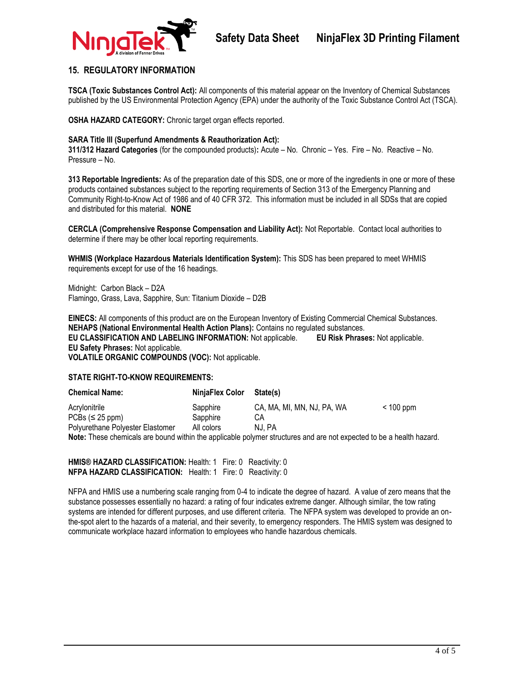

## **15. REGULATORY INFORMATION**

**TSCA (Toxic Substances Control Act):** All components of this material appear on the Inventory of Chemical Substances published by the US Environmental Protection Agency (EPA) under the authority of the Toxic Substance Control Act (TSCA).

**OSHA HAZARD CATEGORY:** Chronic target organ effects reported.

#### **SARA Title III (Superfund Amendments & Reauthorization Act):**

**311/312 Hazard Categories** (for the compounded products)**:** Acute – No. Chronic – Yes. Fire – No. Reactive – No. Pressure – No.

**313 Reportable Ingredients:** As of the preparation date of this SDS, one or more of the ingredients in one or more of these products contained substances subject to the reporting requirements of Section 313 of the Emergency Planning and Community Right-to-Know Act of 1986 and of 40 CFR 372. This information must be included in all SDSs that are copied and distributed for this material. **NONE**

**CERCLA (Comprehensive Response Compensation and Liability Act):** Not Reportable. Contact local authorities to determine if there may be other local reporting requirements.

**WHMIS (Workplace Hazardous Materials Identification System):** This SDS has been prepared to meet WHMIS requirements except for use of the 16 headings.

Midnight: Carbon Black – D2A Flamingo, Grass, Lava, Sapphire, Sun: Titanium Dioxide – D2B

**EINECS:** All components of this product are on the European Inventory of Existing Commercial Chemical Substances. **NEHAPS (National Environmental Health Action Plans):** Contains no regulated substances. **EU CLASSIFICATION AND LABELING INFORMATION:** Not applicable. **EU Risk Phrases:** Not applicable. **EU Safety Phrases:** Not applicable. **VOLATILE ORGANIC COMPOUNDS (VOC):** Not applicable.

#### **STATE RIGHT-TO-KNOW REQUIREMENTS:**

| <b>Chemical Name:</b>            | NinjaFlex Color | State(s)                   |             |  |  |
|----------------------------------|-----------------|----------------------------|-------------|--|--|
| Acrylonitrile                    | Sapphire        | CA, MA, MI, MN, NJ, PA, WA | $< 100$ ppm |  |  |
| $PCBs \leq 25$ ppm)              | Sapphire        | CА                         |             |  |  |
| Polyurethane Polyester Elastomer | All colors      | NJ. PA                     |             |  |  |
|                                  |                 |                            |             |  |  |

**Note:** These chemicals are bound within the applicable polymer structures and are not expected to be a health hazard.

**HMIS® HAZARD CLASSIFICATION:** Health: 1 Fire: 0 Reactivity: 0 **NFPA HAZARD CLASSIFICATION:** Health: 1 Fire: 0 Reactivity: 0

NFPA and HMIS use a numbering scale ranging from 0-4 to indicate the degree of hazard. A value of zero means that the substance possesses essentially no hazard: a rating of four indicates extreme danger. Although similar, the tow rating systems are intended for different purposes, and use different criteria. The NFPA system was developed to provide an onthe-spot alert to the hazards of a material, and their severity, to emergency responders. The HMIS system was designed to communicate workplace hazard information to employees who handle hazardous chemicals.